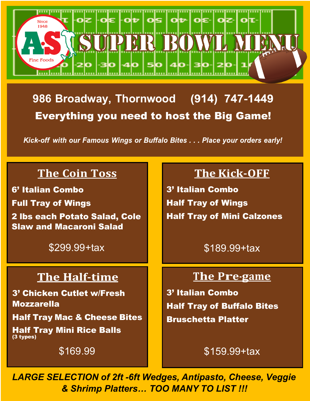

**986 Broadway, Thornwood** Everything you need to host the Big Game!

Kick-off with our Famous Wings or Buffalo Bites . . . Place your orders early!

# **The Coin Toss**

6' Italian Combo

Full Tray of Wings

2 lbs each Potato Salad, Cole Slaw and Macaroni Salad

\$299.99+tax

## **The Half-time**

3' Chicken Cutlet w/Fresh Mozzarella

Half Tray Mac & Cheese Bites

Half Tray Mini Rice Balls (3 types)

 $\pm$ 

\$169.99

# **The Kick-OFF**

3' Italian Combo Half Tray of Wings Half Tray of Mini Calzones

\$189.99+tax

### **The Pre-game**

3' Italian Combo Half Tray of Buffalo Bites Bruschetta Platter

#### \$159.99+tax

*LARGE SELECTION of 2ft -6ft Wedges, Antipasto, Cheese, Veggie & Shrimp Platters… TOO MANY TO LIST !!!*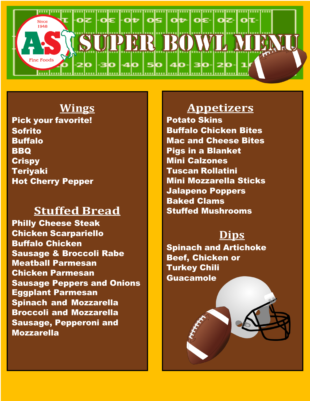

# **Wings**

Pick your favorite! Sofrito Buffalo BBQ **Crispy** Teriyaki Hot Cherry Pepper

## **Stuffed Bread**

Philly Cheese Steak Chicken Scarpariello Buffalo Chicken Sausage & Broccoli Rabe Meatball Parmesan Chicken Parmesan Sausage Peppers and Onions Eggplant Parmesan Spinach and Mozzarella Broccoli and Mozzarella Sausage, Pepperoni and Mozzarella

# **Appetizers**

Potato Skins Buffalo Chicken Bites Mac and Cheese Bites Pigs in a Blanket Mini Calzones Tuscan Rollatini Mini Mozzarella Sticks Jalapeno Poppers Baked Clams Stuffed Mushrooms

# **Dips**

Spinach and Artichoke Beef, Chicken or Turkey Chili **Guacamole**